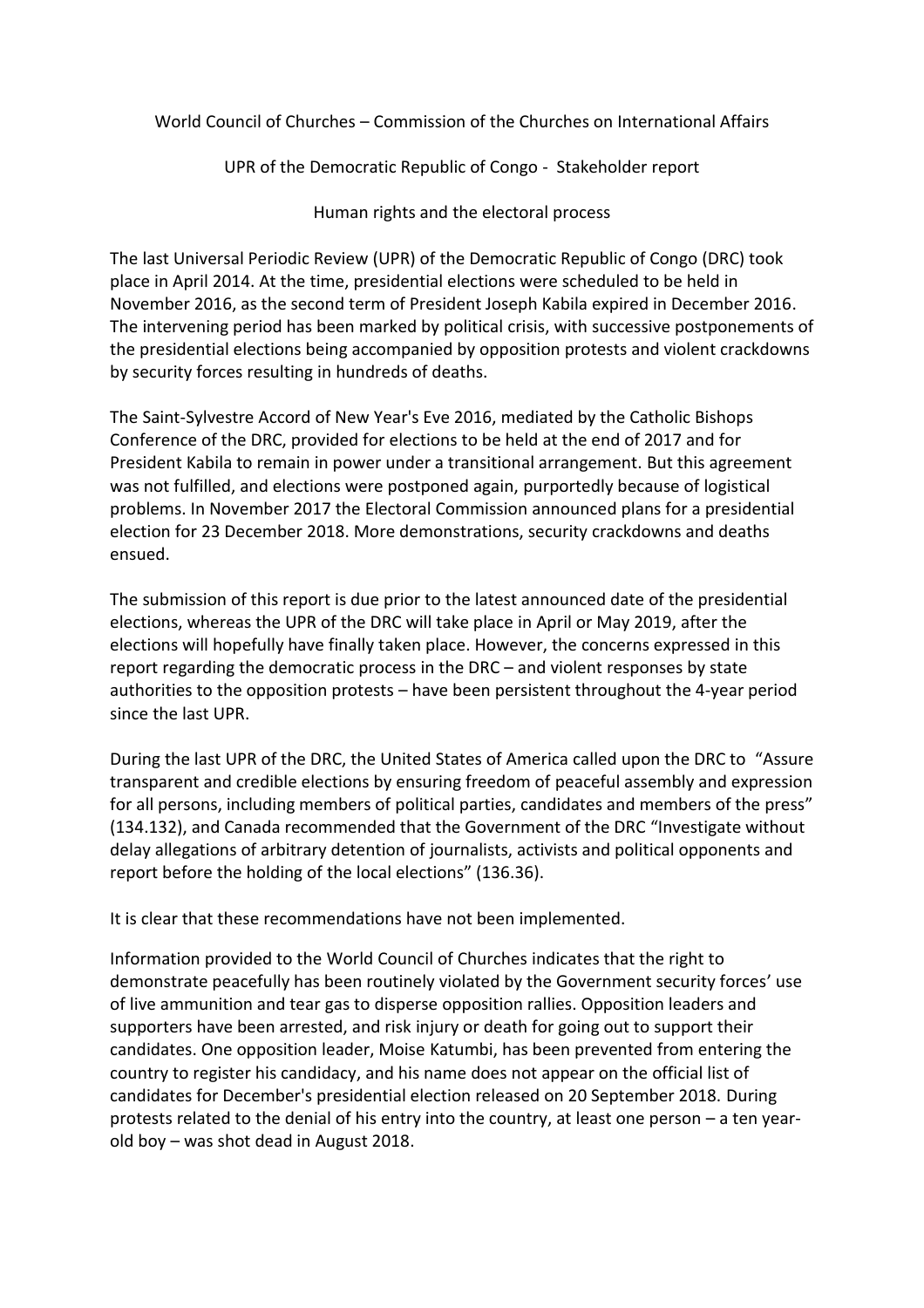World Council of Churches – Commission of the Churches on International Affairs

UPR of the Democratic Republic of Congo - Stakeholder report

Human rights and the electoral process

The last Universal Periodic Review (UPR) of the Democratic Republic of Congo (DRC) took place in April 2014. At the time, presidential elections were scheduled to be held in November 2016, as the second term of President Joseph Kabila expired in December 2016. The intervening period has been marked by political crisis, with successive postponements of the presidential elections being accompanied by opposition protests and violent crackdowns by security forces resulting in hundreds of deaths.

The Saint-Sylvestre Accord of New Year's Eve 2016, mediated by the Catholic Bishops Conference of the DRC, provided for elections to be held at the end of 2017 and for President Kabila to remain in power under a transitional arrangement. But this agreement was not fulfilled, and elections were postponed again, purportedly because of logistical problems. In November 2017 the Electoral Commission announced plans for a presidential election for 23 December 2018. More demonstrations, security crackdowns and deaths ensued.

The submission of this report is due prior to the latest announced date of the presidential elections, whereas the UPR of the DRC will take place in April or May 2019, after the elections will hopefully have finally taken place. However, the concerns expressed in this report regarding the democratic process in the DRC – and violent responses by state authorities to the opposition protests – have been persistent throughout the 4-year period since the last UPR.

During the last UPR of the DRC, the United States of America called upon the DRC to "Assure transparent and credible elections by ensuring freedom of peaceful assembly and expression for all persons, including members of political parties, candidates and members of the press" (134.132), and Canada recommended that the Government of the DRC "Investigate without delay allegations of arbitrary detention of journalists, activists and political opponents and report before the holding of the local elections" (136.36).

It is clear that these recommendations have not been implemented.

Information provided to the World Council of Churches indicates that the right to demonstrate peacefully has been routinely violated by the Government security forces' use of live ammunition and tear gas to disperse opposition rallies. Opposition leaders and supporters have been arrested, and risk injury or death for going out to support their candidates. One opposition leader, Moise Katumbi, has been prevented from entering the country to register his candidacy, and his name does not appear on the official list of candidates for December's presidential election released on 20 September 2018. During protests related to the denial of his entry into the country, at least one person – a ten yearold boy – was shot dead in August 2018.